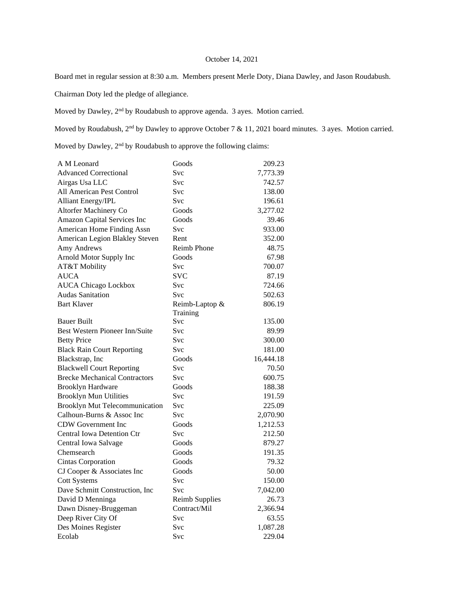## October 14, 2021

Board met in regular session at 8:30 a.m. Members present Merle Doty, Diana Dawley, and Jason Roudabush.

Chairman Doty led the pledge of allegiance.

Moved by Dawley,  $2<sup>nd</sup>$  by Roudabush to approve agenda. 3 ayes. Motion carried.

Moved by Roudabush,  $2^{nd}$  by Dawley to approve October 7 & 11, 2021 board minutes. 3 ayes. Motion carried.

Moved by Dawley, 2nd by Roudabush to approve the following claims:

| A M Leonard                           | Goods                 | 209.23    |
|---------------------------------------|-----------------------|-----------|
| <b>Advanced Correctional</b>          | Svc                   | 7,773.39  |
| Airgas Usa LLC                        | Svc                   | 742.57    |
| All American Pest Control             | Svc                   | 138.00    |
| <b>Alliant Energy/IPL</b>             | Svc                   | 196.61    |
| Altorfer Machinery Co                 | Goods                 | 3,277.02  |
| Amazon Capital Services Inc           | Goods                 | 39.46     |
| American Home Finding Assn            | Svc                   | 933.00    |
| American Legion Blakley Steven        | Rent                  | 352.00    |
| Amy Andrews                           | Reimb Phone           | 48.75     |
| Arnold Motor Supply Inc               | Goods                 | 67.98     |
| AT&T Mobility                         | Svc                   | 700.07    |
| <b>AUCA</b>                           | <b>SVC</b>            | 87.19     |
| <b>AUCA Chicago Lockbox</b>           | <b>Svc</b>            | 724.66    |
| Audas Sanitation                      | Svc                   | 502.63    |
| <b>Bart Klaver</b>                    | Reimb-Laptop &        | 806.19    |
|                                       | Training              |           |
| <b>Bauer Built</b>                    | Svc                   | 135.00    |
| <b>Best Western Pioneer Inn/Suite</b> | Svc                   | 89.99     |
| <b>Betty Price</b>                    | Svc                   | 300.00    |
| <b>Black Rain Court Reporting</b>     | Svc                   | 181.00    |
| Blackstrap, Inc                       | Goods                 | 16,444.18 |
| <b>Blackwell Court Reporting</b>      | Svc                   | 70.50     |
| <b>Brecke Mechanical Contractors</b>  | <b>Svc</b>            | 600.75    |
| <b>Brooklyn Hardware</b>              | Goods                 | 188.38    |
| <b>Brooklyn Mun Utilities</b>         | Svc                   | 191.59    |
| <b>Brooklyn Mut Telecommunication</b> | Svc                   | 225.09    |
| Calhoun-Burns & Assoc Inc             | Svc                   | 2,070.90  |
| CDW Government Inc                    | Goods                 | 1,212.53  |
| <b>Central Iowa Detention Ctr</b>     | Svc                   | 212.50    |
| Central Iowa Salvage                  | Goods                 | 879.27    |
| Chemsearch                            | Goods                 | 191.35    |
| <b>Cintas Corporation</b>             | Goods                 | 79.32     |
| CJ Cooper & Associates Inc            | Goods                 | 50.00     |
| <b>Cott Systems</b>                   | Svc                   | 150.00    |
| Dave Schmitt Construction, Inc        | <b>Svc</b>            | 7,042.00  |
| David D Menninga                      | <b>Reimb Supplies</b> | 26.73     |
| Dawn Disney-Bruggeman                 | Contract/Mil          | 2,366.94  |
| Deep River City Of                    | Svc                   | 63.55     |
| Des Moines Register                   | Svc                   | 1,087.28  |
| Ecolab                                | Svc                   | 229.04    |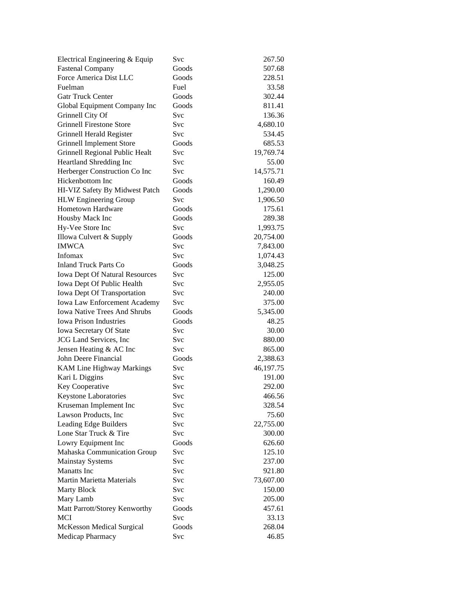| Electrical Engineering & Equip        | Svc        | 267.50    |
|---------------------------------------|------------|-----------|
| <b>Fastenal Company</b>               | Goods      | 507.68    |
| Force America Dist LLC                | Goods      | 228.51    |
| Fuelman                               | Fuel       | 33.58     |
| <b>Gatr Truck Center</b>              | Goods      | 302.44    |
| Global Equipment Company Inc          | Goods      | 811.41    |
| Grinnell City Of                      | Svc        | 136.36    |
| <b>Grinnell Firestone Store</b>       | Svc        | 4,680.10  |
| Grinnell Herald Register              | <b>Svc</b> | 534.45    |
| <b>Grinnell Implement Store</b>       | Goods      | 685.53    |
| Grinnell Regional Public Healt        | Svc        | 19,769.74 |
| Heartland Shredding Inc               | <b>Svc</b> | 55.00     |
| Herberger Construction Co Inc         | Svc        | 14,575.71 |
| Hickenbottom Inc                      | Goods      | 160.49    |
| HI-VIZ Safety By Midwest Patch        | Goods      | 1,290.00  |
| <b>HLW</b> Engineering Group          | Svc        | 1,906.50  |
| Hometown Hardware                     | Goods      | 175.61    |
| Housby Mack Inc                       | Goods      | 289.38    |
| Hy-Vee Store Inc                      | Svc        | 1,993.75  |
| Illowa Culvert & Supply               | Goods      | 20,754.00 |
| <b>IMWCA</b>                          | Svc        | 7,843.00  |
| Infomax                               | Svc        | 1,074.43  |
| <b>Inland Truck Parts Co</b>          | Goods      | 3,048.25  |
| <b>Iowa Dept Of Natural Resources</b> | Svc        | 125.00    |
| Iowa Dept Of Public Health            | Svc        | 2,955.05  |
| Iowa Dept Of Transportation           | Svc        | 240.00    |
| <b>Iowa Law Enforcement Academy</b>   | Svc        | 375.00    |
| <b>Iowa Native Trees And Shrubs</b>   | Goods      | 5,345.00  |
| <b>Iowa Prison Industries</b>         | Goods      | 48.25     |
| Iowa Secretary Of State               | Svc        | 30.00     |
| JCG Land Services, Inc                | Svc        | 880.00    |
| Jensen Heating & AC Inc               | Svc        | 865.00    |
| John Deere Financial                  | Goods      | 2,388.63  |
| <b>KAM Line Highway Markings</b>      | Svc        | 46,197.75 |
| Kari L Diggins                        | Svc        | 191.00    |
| Key Cooperative                       | Svc        | 292.00    |
| Keystone Laboratories                 | Svc        | 466.56    |
| Kruseman Implement Inc                | Svc        | 328.54    |
| Lawson Products, Inc                  | Svc        | 75.60     |
| Leading Edge Builders                 | Svc        | 22,755.00 |
| Lone Star Truck & Tire                | Svc        | 300.00    |
| Lowry Equipment Inc                   | Goods      | 626.60    |
| Mahaska Communication Group           | Svc        | 125.10    |
| <b>Mainstay Systems</b>               | Svc        | 237.00    |
| <b>Manatts</b> Inc                    | Svc        | 921.80    |
| <b>Martin Marietta Materials</b>      | Svc        | 73,607.00 |
| <b>Marty Block</b>                    | Svc        | 150.00    |
| Mary Lamb                             | Svc        | 205.00    |
| Matt Parrott/Storey Kenworthy         | Goods      | 457.61    |
| MCI                                   | Svc        | 33.13     |
| McKesson Medical Surgical             | Goods      | 268.04    |
| Medicap Pharmacy                      | Svc        | 46.85     |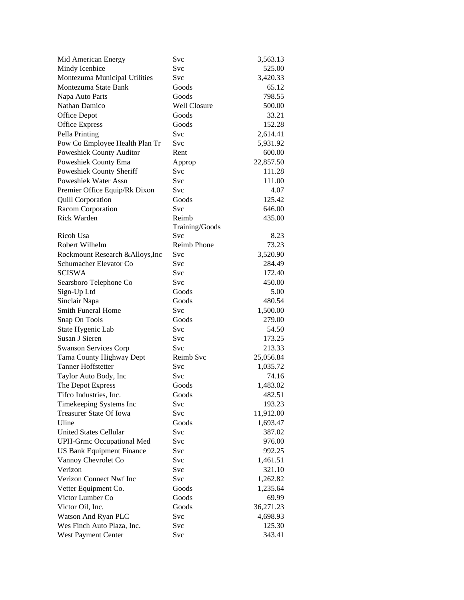| Mid American Energy              | Svc                 | 3,563.13  |
|----------------------------------|---------------------|-----------|
| Mindy Icenbice                   | Svc                 | 525.00    |
| Montezuma Municipal Utilities    | Svc                 | 3,420.33  |
| Montezuma State Bank             | Goods               | 65.12     |
| Napa Auto Parts                  | Goods               | 798.55    |
| Nathan Damico                    | <b>Well Closure</b> | 500.00    |
| Office Depot                     | Goods               | 33.21     |
| <b>Office Express</b>            | Goods               | 152.28    |
| Pella Printing                   | Svc                 | 2,614.41  |
| Pow Co Employee Health Plan Tr   | Svc                 | 5,931.92  |
| Poweshiek County Auditor         | Rent                | 600.00    |
| Poweshiek County Ema             | Approp              | 22,857.50 |
| Poweshiek County Sheriff         | Svc                 | 111.28    |
| Poweshiek Water Assn             | <b>Svc</b>          | 111.00    |
| Premier Office Equip/Rk Dixon    | Svc                 | 4.07      |
| <b>Quill Corporation</b>         | Goods               | 125.42    |
| Racom Corporation                | Svc                 | 646.00    |
| <b>Rick Warden</b>               | Reimb               | 435.00    |
|                                  | Training/Goods      |           |
| Ricoh Usa                        | Svc                 | 8.23      |
| Robert Wilhelm                   | <b>Reimb Phone</b>  | 73.23     |
| Rockmount Research & Alloys, Inc | Svc                 | 3,520.90  |
| Schumacher Elevator Co           | Svc                 | 284.49    |
| <b>SCISWA</b>                    | Svc                 | 172.40    |
| Searsboro Telephone Co           | Svc                 | 450.00    |
| Sign-Up Ltd                      | Goods               | 5.00      |
| Sinclair Napa                    | Goods               | 480.54    |
| <b>Smith Funeral Home</b>        | <b>Svc</b>          | 1,500.00  |
| Snap On Tools                    | Goods               | 279.00    |
| State Hygenic Lab                | <b>Svc</b>          | 54.50     |
| Susan J Sieren                   | Svc                 | 173.25    |
| <b>Swanson Services Corp</b>     | Svc                 | 213.33    |
| Tama County Highway Dept         | Reimb Svc           | 25,056.84 |
| <b>Tanner Hoffstetter</b>        | Svc                 | 1,035.72  |
| Taylor Auto Body, Inc            | Svc                 | 74.16     |
| The Depot Express                | Goods               | 1,483.02  |
| Tifco Industries, Inc.           | Goods               | 482.51    |
| Timekeeping Systems Inc          | Svc                 | 193.23    |
| Treasurer State Of Iowa          | Svc                 | 11,912.00 |
| Uline                            | Goods               | 1,693.47  |
| <b>United States Cellular</b>    | Svc                 | 387.02    |
| <b>UPH-Grmc Occupational Med</b> | Svc                 | 976.00    |
| <b>US Bank Equipment Finance</b> | Svc                 | 992.25    |
| Vannoy Chevrolet Co              | Svc                 | 1,461.51  |
| Verizon                          | Svc                 | 321.10    |
| Verizon Connect Nwf Inc          | Svc                 | 1,262.82  |
| Vetter Equipment Co.             | Goods               | 1,235.64  |
| Victor Lumber Co                 | Goods               | 69.99     |
| Victor Oil, Inc.                 | Goods               | 36,271.23 |
| Watson And Ryan PLC              | Svc                 | 4,698.93  |
| Wes Finch Auto Plaza, Inc.       | Svc                 | 125.30    |
| West Payment Center              | Svc                 | 343.41    |
|                                  |                     |           |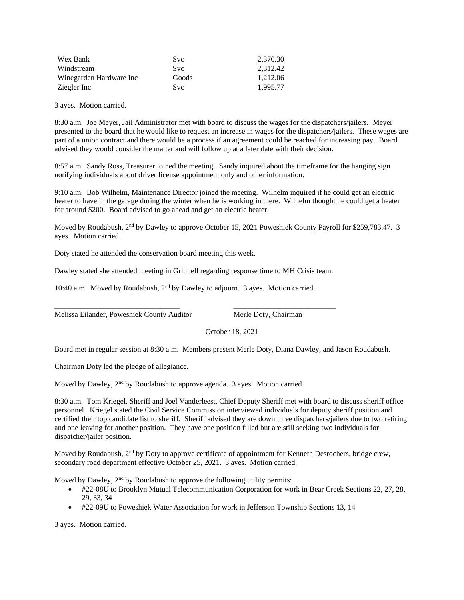| Wex Bank                | <b>Svc</b> | 2.370.30 |
|-------------------------|------------|----------|
| Windstream              | Svc.       | 2.312.42 |
| Winegarden Hardware Inc | Goods      | 1.212.06 |
| Ziegler Inc             | Svc.       | 1.995.77 |

3 ayes. Motion carried.

8:30 a.m. Joe Meyer, Jail Administrator met with board to discuss the wages for the dispatchers/jailers. Meyer presented to the board that he would like to request an increase in wages for the dispatchers/jailers. These wages are part of a union contract and there would be a process if an agreement could be reached for increasing pay. Board advised they would consider the matter and will follow up at a later date with their decision.

8:57 a.m. Sandy Ross, Treasurer joined the meeting. Sandy inquired about the timeframe for the hanging sign notifying individuals about driver license appointment only and other information.

9:10 a.m. Bob Wilhelm, Maintenance Director joined the meeting. Wilhelm inquired if he could get an electric heater to have in the garage during the winter when he is working in there. Wilhelm thought he could get a heater for around \$200. Board advised to go ahead and get an electric heater.

Moved by Roudabush,  $2<sup>nd</sup>$  by Dawley to approve October 15, 2021 Poweshiek County Payroll for \$259,783.47. 3 ayes. Motion carried.

Doty stated he attended the conservation board meeting this week.

Dawley stated she attended meeting in Grinnell regarding response time to MH Crisis team.

\_\_\_\_\_\_\_\_\_\_\_\_\_\_\_\_\_\_\_\_\_\_\_\_\_\_\_\_\_\_\_\_\_ \_\_\_\_\_\_\_\_\_\_\_\_\_\_\_\_\_\_\_\_\_\_\_\_\_\_\_

10:40 a.m. Moved by Roudabush,  $2<sup>nd</sup>$  by Dawley to adjourn. 3 ayes. Motion carried.

Melissa Eilander, Poweshiek County Auditor Merle Doty, Chairman

October 18, 2021

Board met in regular session at 8:30 a.m. Members present Merle Doty, Diana Dawley, and Jason Roudabush.

Chairman Doty led the pledge of allegiance.

Moved by Dawley, 2<sup>nd</sup> by Roudabush to approve agenda. 3 ayes. Motion carried.

8:30 a.m. Tom Kriegel, Sheriff and Joel Vanderleest, Chief Deputy Sheriff met with board to discuss sheriff office personnel. Kriegel stated the Civil Service Commission interviewed individuals for deputy sheriff position and certified their top candidate list to sheriff. Sheriff advised they are down three dispatchers/jailers due to two retiring and one leaving for another position. They have one position filled but are still seeking two individuals for dispatcher/jailer position.

Moved by Roudabush, 2<sup>nd</sup> by Doty to approve certificate of appointment for Kenneth Desrochers, bridge crew, secondary road department effective October 25, 2021. 3 ayes. Motion carried.

Moved by Dawley,  $2<sup>nd</sup>$  by Roudabush to approve the following utility permits:

- #22-08U to Brooklyn Mutual Telecommunication Corporation for work in Bear Creek Sections 22, 27, 28, 29, 33, 34
- #22-09U to Poweshiek Water Association for work in Jefferson Township Sections 13, 14

3 ayes. Motion carried.